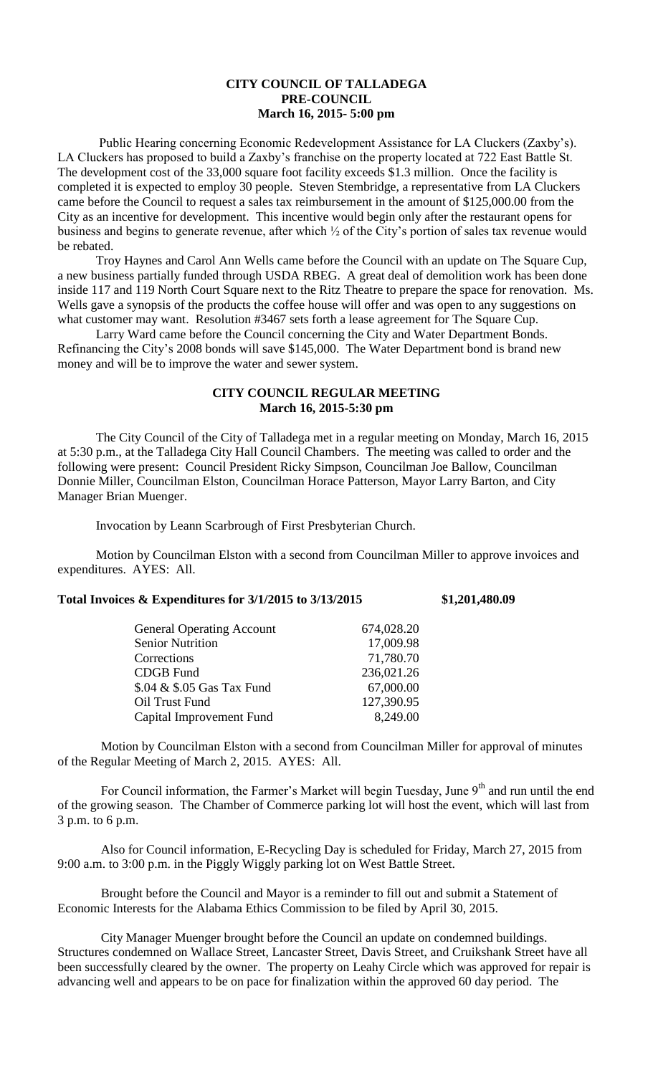## **CITY COUNCIL OF TALLADEGA PRE-COUNCIL March 16, 2015- 5:00 pm**

Public Hearing concerning Economic Redevelopment Assistance for LA Cluckers (Zaxby's). LA Cluckers has proposed to build a Zaxby's franchise on the property located at 722 East Battle St. The development cost of the 33,000 square foot facility exceeds \$1.3 million. Once the facility is completed it is expected to employ 30 people. Steven Stembridge, a representative from LA Cluckers came before the Council to request a sales tax reimbursement in the amount of \$125,000.00 from the City as an incentive for development. This incentive would begin only after the restaurant opens for business and begins to generate revenue, after which ½ of the City's portion of sales tax revenue would be rebated.

Troy Haynes and Carol Ann Wells came before the Council with an update on The Square Cup, a new business partially funded through USDA RBEG. A great deal of demolition work has been done inside 117 and 119 North Court Square next to the Ritz Theatre to prepare the space for renovation. Ms. Wells gave a synopsis of the products the coffee house will offer and was open to any suggestions on what customer may want. Resolution #3467 sets forth a lease agreement for The Square Cup.

Larry Ward came before the Council concerning the City and Water Department Bonds. Refinancing the City's 2008 bonds will save \$145,000. The Water Department bond is brand new money and will be to improve the water and sewer system.

## **CITY COUNCIL REGULAR MEETING March 16, 2015-5:30 pm**

The City Council of the City of Talladega met in a regular meeting on Monday, March 16, 2015 at 5:30 p.m., at the Talladega City Hall Council Chambers. The meeting was called to order and the following were present: Council President Ricky Simpson, Councilman Joe Ballow, Councilman Donnie Miller, Councilman Elston, Councilman Horace Patterson, Mayor Larry Barton, and City Manager Brian Muenger.

Invocation by Leann Scarbrough of First Presbyterian Church.

Motion by Councilman Elston with a second from Councilman Miller to approve invoices and expenditures. AYES: All.

## **Total Invoices & Expenditures for 3/1/2015 to 3/13/2015 \$1,201,480.09**

| <b>General Operating Account</b> | 674,028.20 |
|----------------------------------|------------|
| <b>Senior Nutrition</b>          | 17,009.98  |
| Corrections                      | 71,780.70  |
| <b>CDGB</b> Fund                 | 236,021.26 |
| \$.04 & \$.05 Gas Tax Fund       | 67,000.00  |
| Oil Trust Fund                   | 127,390.95 |
| Capital Improvement Fund         | 8,249.00   |
|                                  |            |

Motion by Councilman Elston with a second from Councilman Miller for approval of minutes of the Regular Meeting of March 2, 2015. AYES: All.

For Council information, the Farmer's Market will begin Tuesday, June 9<sup>th</sup> and run until the end of the growing season. The Chamber of Commerce parking lot will host the event, which will last from 3 p.m. to 6 p.m.

Also for Council information, E-Recycling Day is scheduled for Friday, March 27, 2015 from 9:00 a.m. to 3:00 p.m. in the Piggly Wiggly parking lot on West Battle Street.

Brought before the Council and Mayor is a reminder to fill out and submit a Statement of Economic Interests for the Alabama Ethics Commission to be filed by April 30, 2015.

City Manager Muenger brought before the Council an update on condemned buildings. Structures condemned on Wallace Street, Lancaster Street, Davis Street, and Cruikshank Street have all been successfully cleared by the owner. The property on Leahy Circle which was approved for repair is advancing well and appears to be on pace for finalization within the approved 60 day period. The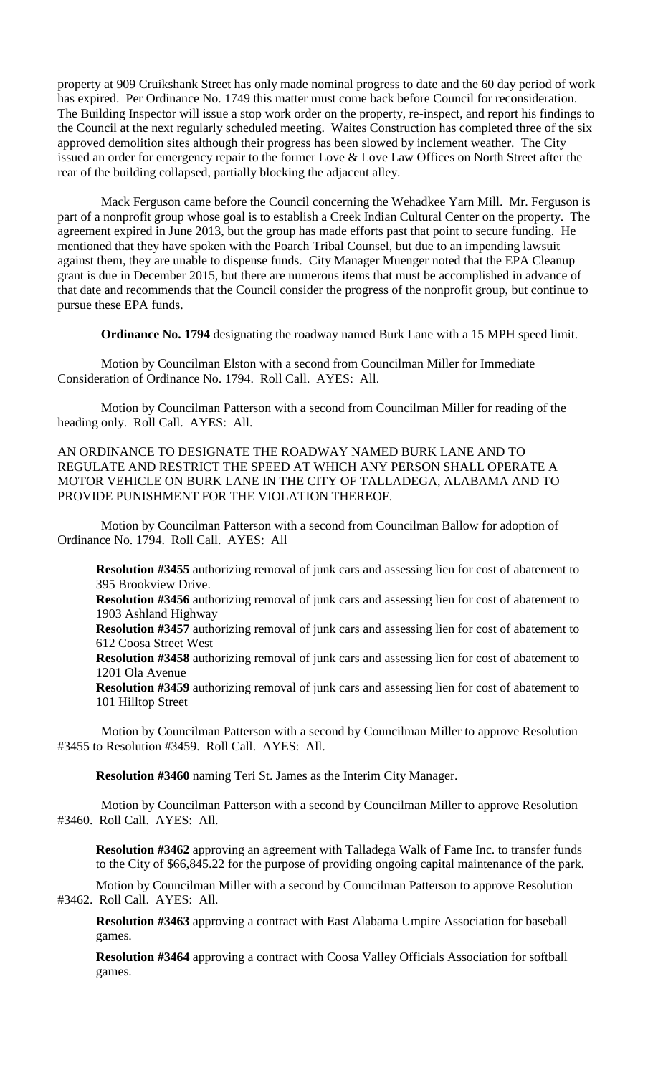property at 909 Cruikshank Street has only made nominal progress to date and the 60 day period of work has expired. Per Ordinance No. 1749 this matter must come back before Council for reconsideration. The Building Inspector will issue a stop work order on the property, re-inspect, and report his findings to the Council at the next regularly scheduled meeting. Waites Construction has completed three of the six approved demolition sites although their progress has been slowed by inclement weather. The City issued an order for emergency repair to the former Love & Love Law Offices on North Street after the rear of the building collapsed, partially blocking the adjacent alley.

Mack Ferguson came before the Council concerning the Wehadkee Yarn Mill. Mr. Ferguson is part of a nonprofit group whose goal is to establish a Creek Indian Cultural Center on the property. The agreement expired in June 2013, but the group has made efforts past that point to secure funding. He mentioned that they have spoken with the Poarch Tribal Counsel, but due to an impending lawsuit against them, they are unable to dispense funds. City Manager Muenger noted that the EPA Cleanup grant is due in December 2015, but there are numerous items that must be accomplished in advance of that date and recommends that the Council consider the progress of the nonprofit group, but continue to pursue these EPA funds.

**Ordinance No. 1794** designating the roadway named Burk Lane with a 15 MPH speed limit.

Motion by Councilman Elston with a second from Councilman Miller for Immediate Consideration of Ordinance No. 1794. Roll Call. AYES: All.

Motion by Councilman Patterson with a second from Councilman Miller for reading of the heading only. Roll Call. AYES: All.

AN ORDINANCE TO DESIGNATE THE ROADWAY NAMED BURK LANE AND TO REGULATE AND RESTRICT THE SPEED AT WHICH ANY PERSON SHALL OPERATE A MOTOR VEHICLE ON BURK LANE IN THE CITY OF TALLADEGA, ALABAMA AND TO PROVIDE PUNISHMENT FOR THE VIOLATION THEREOF.

Motion by Councilman Patterson with a second from Councilman Ballow for adoption of Ordinance No. 1794. Roll Call. AYES: All

**Resolution #3455** authorizing removal of junk cars and assessing lien for cost of abatement to 395 Brookview Drive.

**Resolution #3456** authorizing removal of junk cars and assessing lien for cost of abatement to 1903 Ashland Highway

**Resolution #3457** authorizing removal of junk cars and assessing lien for cost of abatement to 612 Coosa Street West

**Resolution #3458** authorizing removal of junk cars and assessing lien for cost of abatement to 1201 Ola Avenue

**Resolution #3459** authorizing removal of junk cars and assessing lien for cost of abatement to 101 Hilltop Street

Motion by Councilman Patterson with a second by Councilman Miller to approve Resolution #3455 to Resolution #3459. Roll Call. AYES: All.

**Resolution #3460** naming Teri St. James as the Interim City Manager.

Motion by Councilman Patterson with a second by Councilman Miller to approve Resolution #3460. Roll Call. AYES: All.

**Resolution #3462** approving an agreement with Talladega Walk of Fame Inc. to transfer funds to the City of \$66,845.22 for the purpose of providing ongoing capital maintenance of the park.

Motion by Councilman Miller with a second by Councilman Patterson to approve Resolution #3462. Roll Call. AYES: All.

**Resolution #3463** approving a contract with East Alabama Umpire Association for baseball games.

**Resolution #3464** approving a contract with Coosa Valley Officials Association for softball games.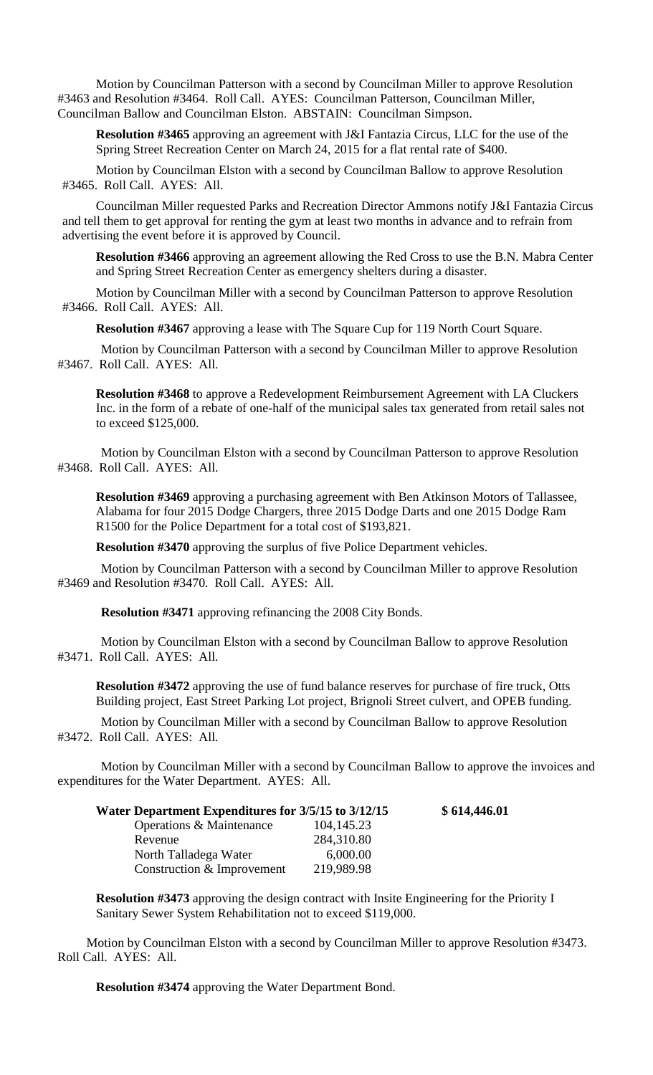Motion by Councilman Patterson with a second by Councilman Miller to approve Resolution #3463 and Resolution #3464. Roll Call. AYES: Councilman Patterson, Councilman Miller, Councilman Ballow and Councilman Elston. ABSTAIN: Councilman Simpson.

**Resolution #3465** approving an agreement with J&I Fantazia Circus, LLC for the use of the Spring Street Recreation Center on March 24, 2015 for a flat rental rate of \$400.

Motion by Councilman Elston with a second by Councilman Ballow to approve Resolution #3465. Roll Call. AYES: All.

Councilman Miller requested Parks and Recreation Director Ammons notify J&I Fantazia Circus and tell them to get approval for renting the gym at least two months in advance and to refrain from advertising the event before it is approved by Council.

**Resolution #3466** approving an agreement allowing the Red Cross to use the B.N. Mabra Center and Spring Street Recreation Center as emergency shelters during a disaster.

Motion by Councilman Miller with a second by Councilman Patterson to approve Resolution #3466. Roll Call. AYES: All.

**Resolution #3467** approving a lease with The Square Cup for 119 North Court Square.

Motion by Councilman Patterson with a second by Councilman Miller to approve Resolution #3467. Roll Call. AYES: All.

**Resolution #3468** to approve a Redevelopment Reimbursement Agreement with LA Cluckers Inc. in the form of a rebate of one-half of the municipal sales tax generated from retail sales not to exceed \$125,000.

Motion by Councilman Elston with a second by Councilman Patterson to approve Resolution #3468. Roll Call. AYES: All.

**Resolution #3469** approving a purchasing agreement with Ben Atkinson Motors of Tallassee, Alabama for four 2015 Dodge Chargers, three 2015 Dodge Darts and one 2015 Dodge Ram R1500 for the Police Department for a total cost of \$193,821.

**Resolution #3470** approving the surplus of five Police Department vehicles.

Motion by Councilman Patterson with a second by Councilman Miller to approve Resolution #3469 and Resolution #3470. Roll Call. AYES: All.

**Resolution #3471** approving refinancing the 2008 City Bonds.

Motion by Councilman Elston with a second by Councilman Ballow to approve Resolution #3471. Roll Call. AYES: All.

**Resolution #3472** approving the use of fund balance reserves for purchase of fire truck, Otts Building project, East Street Parking Lot project, Brignoli Street culvert, and OPEB funding.

Motion by Councilman Miller with a second by Councilman Ballow to approve Resolution #3472. Roll Call. AYES: All.

Motion by Councilman Miller with a second by Councilman Ballow to approve the invoices and expenditures for the Water Department. AYES: All.

| Water Department Expenditures for 3/5/15 to 3/12/15 |              | \$614,446.01 |
|-----------------------------------------------------|--------------|--------------|
| Operations & Maintenance                            | 104, 145. 23 |              |
| Revenue                                             | 284,310.80   |              |
| North Talladega Water                               | 6,000.00     |              |
| Construction & Improvement                          | 219,989.98   |              |

**Resolution #3473** approving the design contract with Insite Engineering for the Priority I Sanitary Sewer System Rehabilitation not to exceed \$119,000.

Motion by Councilman Elston with a second by Councilman Miller to approve Resolution #3473. Roll Call. AYES: All.

**Resolution #3474** approving the Water Department Bond.